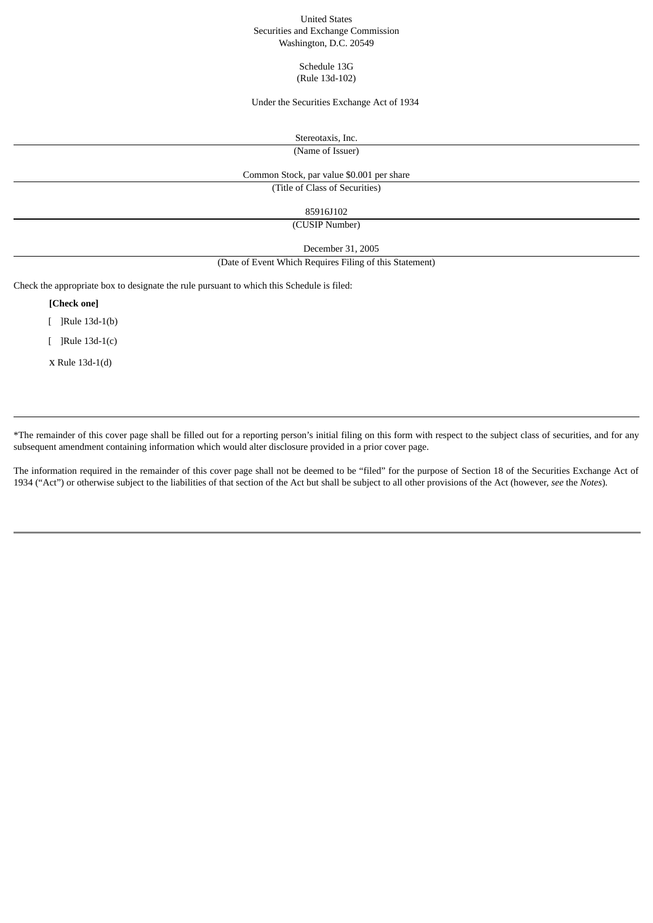### United States Securities and Exchange Commission Washington, D.C. 20549

Schedule 13G (Rule 13d-102)

## Under the Securities Exchange Act of 1934

Stereotaxis, Inc.

(Name of Issuer)

### Common Stock, par value \$0.001 per share

(Title of Class of Securities)

# 85916J102

(CUSIP Number)

December 31, 2005

#### (Date of Event Which Requires Filing of this Statement)

Check the appropriate box to designate the rule pursuant to which this Schedule is filed:

**[Check one]**

[ ]Rule 13d-1(b)

[ ]Rule 13d-1(c)

x Rule 13d-1(d)

\*The remainder of this cover page shall be filled out for a reporting person's initial filing on this form with respect to the subject class of securities, and for any subsequent amendment containing information which would alter disclosure provided in a prior cover page.

The information required in the remainder of this cover page shall not be deemed to be "filed" for the purpose of Section 18 of the Securities Exchange Act of 1934 ("Act") or otherwise subject to the liabilities of that section of the Act but shall be subject to all other provisions of the Act (however, *see* the *Notes*).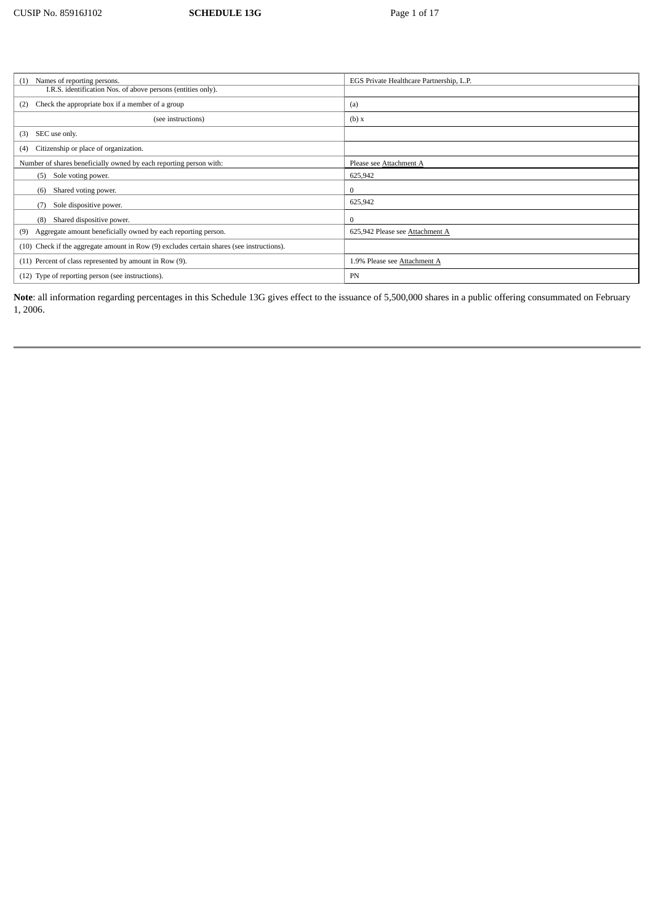| Names of reporting persons.<br>(1)                                                        | EGS Private Healthcare Partnership, L.P. |
|-------------------------------------------------------------------------------------------|------------------------------------------|
| I.R.S. identification Nos. of above persons (entities only).                              |                                          |
| Check the appropriate box if a member of a group<br>(2)                                   | (a)                                      |
| (see instructions)                                                                        | (b) x                                    |
| SEC use only.<br>(3)                                                                      |                                          |
| Citizenship or place of organization.<br>(4)                                              |                                          |
| Number of shares beneficially owned by each reporting person with:                        | Please see Attachment A                  |
| Sole voting power.<br>(5)                                                                 | 625,942                                  |
| Shared voting power.<br>(6)                                                               | $\Omega$                                 |
| Sole dispositive power.                                                                   | 625,942                                  |
| Shared dispositive power.<br>(8)                                                          | $\mathbf{0}$                             |
| Aggregate amount beneficially owned by each reporting person.<br>(9)                      | 625,942 Please see Attachment A          |
| (10) Check if the aggregate amount in Row (9) excludes certain shares (see instructions). |                                          |
| (11) Percent of class represented by amount in Row (9).                                   | 1.9% Please see Attachment A             |
| (12) Type of reporting person (see instructions).                                         | PN                                       |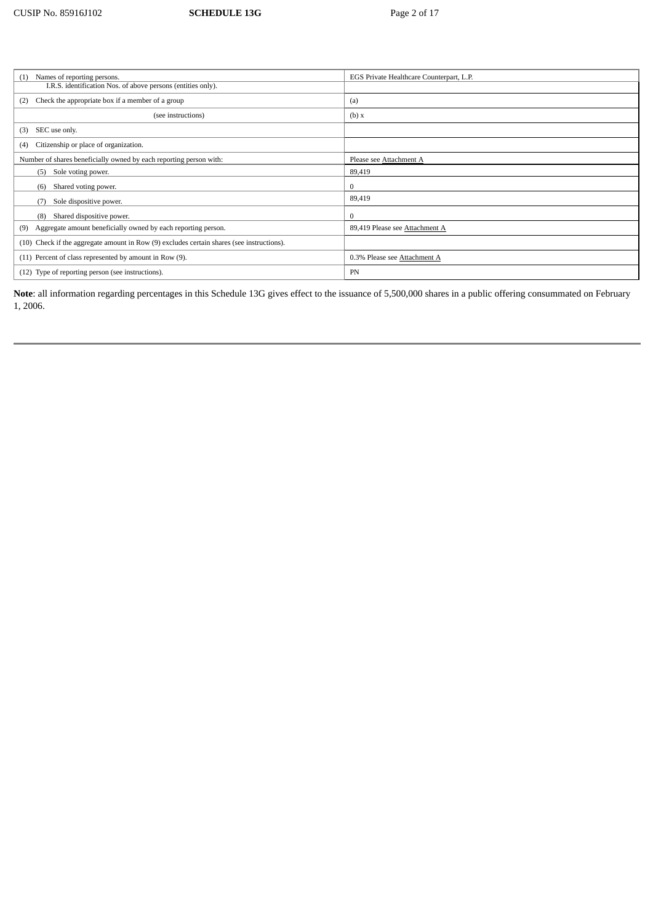| Names of reporting persons.<br>(1)                                                        | EGS Private Healthcare Counterpart, L.P. |
|-------------------------------------------------------------------------------------------|------------------------------------------|
| I.R.S. identification Nos. of above persons (entities only).                              |                                          |
| Check the appropriate box if a member of a group<br>(2)                                   | (a)                                      |
| (see instructions)                                                                        | (b) x                                    |
| SEC use only.<br>(3)                                                                      |                                          |
| Citizenship or place of organization.<br>(4)                                              |                                          |
| Number of shares beneficially owned by each reporting person with:                        | Please see Attachment A                  |
| Sole voting power.<br>(5)                                                                 | 89,419                                   |
| Shared voting power.<br>(6)                                                               | $\bf{0}$                                 |
| Sole dispositive power.<br>(7)                                                            | 89,419                                   |
| Shared dispositive power.<br>(8)                                                          | $\Omega$                                 |
| Aggregate amount beneficially owned by each reporting person.<br>(9)                      | 89,419 Please see Attachment A           |
| (10) Check if the aggregate amount in Row (9) excludes certain shares (see instructions). |                                          |
| (11) Percent of class represented by amount in Row (9).                                   | 0.3% Please see Attachment A             |
| (12) Type of reporting person (see instructions).                                         | PN                                       |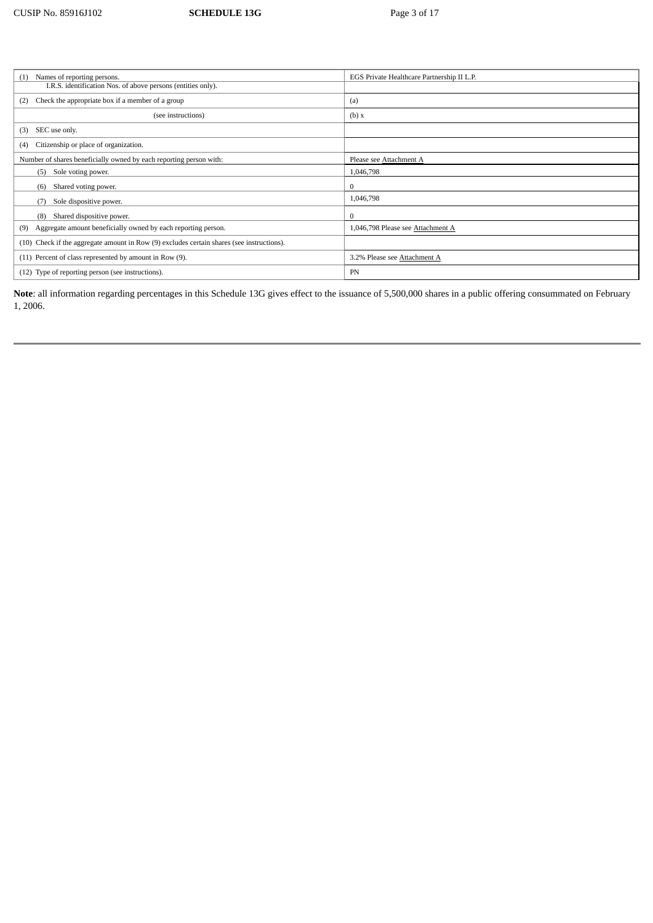| Names of reporting persons.<br>(1)                                                        | EGS Private Healthcare Partnership II L.P. |
|-------------------------------------------------------------------------------------------|--------------------------------------------|
| I.R.S. identification Nos. of above persons (entities only).                              |                                            |
| Check the appropriate box if a member of a group<br>(2)                                   | (a)                                        |
| (see instructions)                                                                        | (b) x                                      |
| SEC use only.<br>(3)                                                                      |                                            |
| Citizenship or place of organization.<br>(4)                                              |                                            |
| Number of shares beneficially owned by each reporting person with:                        | Please see Attachment A                    |
| Sole voting power.<br>(5)                                                                 | 1,046,798                                  |
| Shared voting power.<br>(6)                                                               | $\bf{0}$                                   |
| Sole dispositive power.<br>(7)                                                            | 1,046,798                                  |
| Shared dispositive power.<br>(8)                                                          | $\Omega$                                   |
| Aggregate amount beneficially owned by each reporting person.<br>(9)                      | 1,046,798 Please see Attachment A          |
| (10) Check if the aggregate amount in Row (9) excludes certain shares (see instructions). |                                            |
| (11) Percent of class represented by amount in Row (9).                                   | 3.2% Please see Attachment A               |
| (12) Type of reporting person (see instructions).                                         | PN                                         |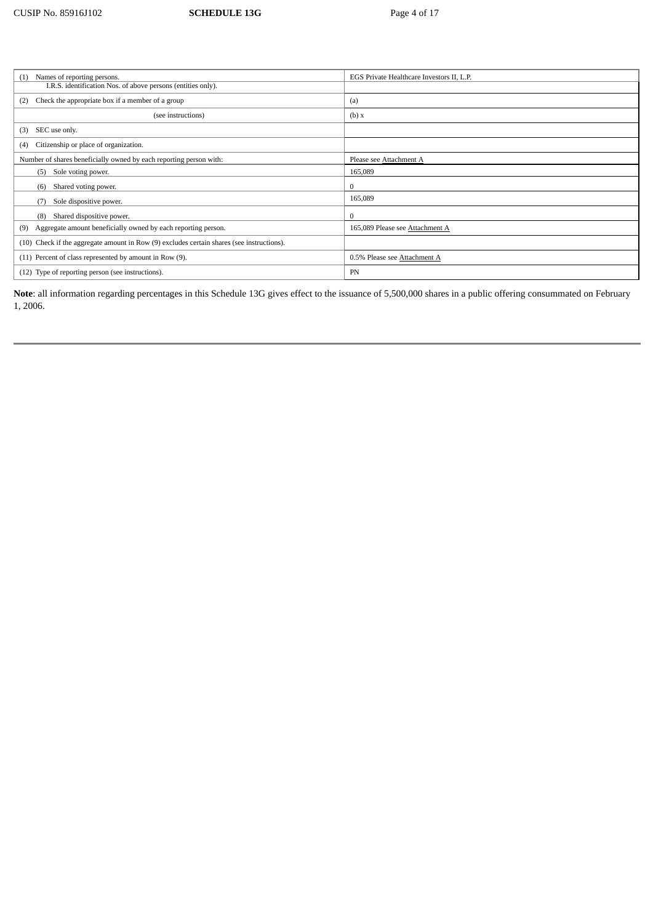| Names of reporting persons.<br>(1)                                                        | EGS Private Healthcare Investors II, L.P. |
|-------------------------------------------------------------------------------------------|-------------------------------------------|
| I.R.S. identification Nos. of above persons (entities only).                              |                                           |
| Check the appropriate box if a member of a group<br>(2)                                   | (a)                                       |
| (see instructions)                                                                        | (b) x                                     |
| SEC use only.<br>(3)                                                                      |                                           |
| Citizenship or place of organization.<br>(4)                                              |                                           |
| Number of shares beneficially owned by each reporting person with:                        | Please see Attachment A                   |
| Sole voting power.<br>(5)                                                                 | 165.089                                   |
| Shared voting power.<br>(6)                                                               | 0                                         |
| Sole dispositive power.<br>(7)                                                            | 165,089                                   |
| Shared dispositive power.<br>(8)                                                          | $\Omega$                                  |
| Aggregate amount beneficially owned by each reporting person.<br>(9)                      | 165,089 Please see Attachment A           |
| (10) Check if the aggregate amount in Row (9) excludes certain shares (see instructions). |                                           |
| (11) Percent of class represented by amount in Row (9).                                   | 0.5% Please see Attachment A              |
| (12) Type of reporting person (see instructions).                                         | PN                                        |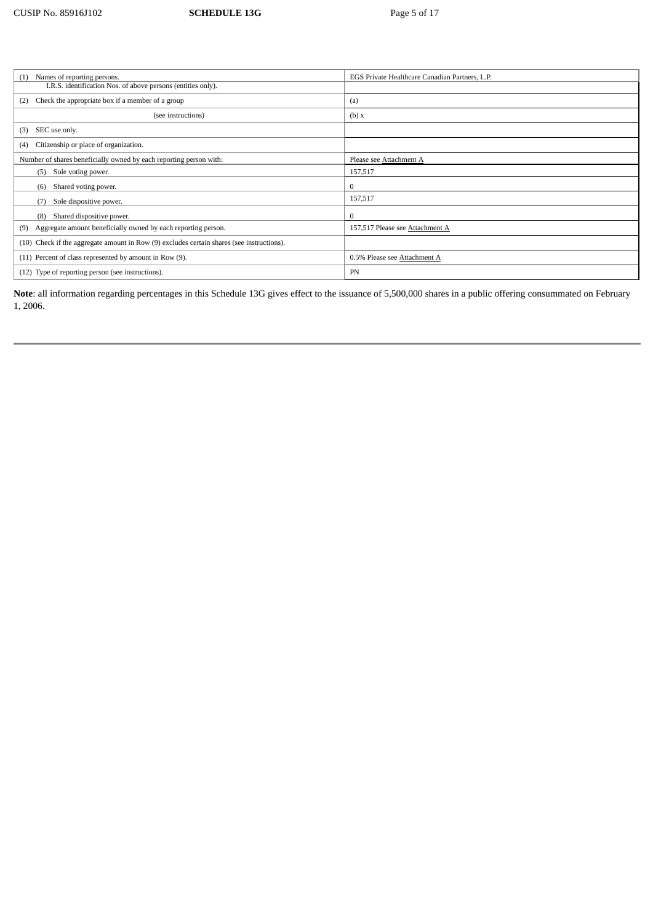| Names of reporting persons.<br>(1)                                                        | EGS Private Healthcare Canadian Partners, L.P. |  |
|-------------------------------------------------------------------------------------------|------------------------------------------------|--|
| I.R.S. identification Nos. of above persons (entities only).                              |                                                |  |
| Check the appropriate box if a member of a group<br>(2)                                   | (a)                                            |  |
| (see instructions)                                                                        | (b) x                                          |  |
| SEC use only.<br>(3)                                                                      |                                                |  |
| Citizenship or place of organization.<br>(4)                                              |                                                |  |
| Number of shares beneficially owned by each reporting person with:                        | Please see Attachment A                        |  |
| Sole voting power.<br>(5)                                                                 | 157,517                                        |  |
| Shared voting power.<br>(6)                                                               | $\bf{0}$                                       |  |
| Sole dispositive power.<br>(7)                                                            | 157,517                                        |  |
| Shared dispositive power.<br>(8)                                                          | $\bf{0}$                                       |  |
| Aggregate amount beneficially owned by each reporting person.<br>(9)                      | 157,517 Please see Attachment A                |  |
| (10) Check if the aggregate amount in Row (9) excludes certain shares (see instructions). |                                                |  |
| (11) Percent of class represented by amount in Row (9).                                   | 0.5% Please see Attachment A                   |  |
| (12) Type of reporting person (see instructions).                                         | PN                                             |  |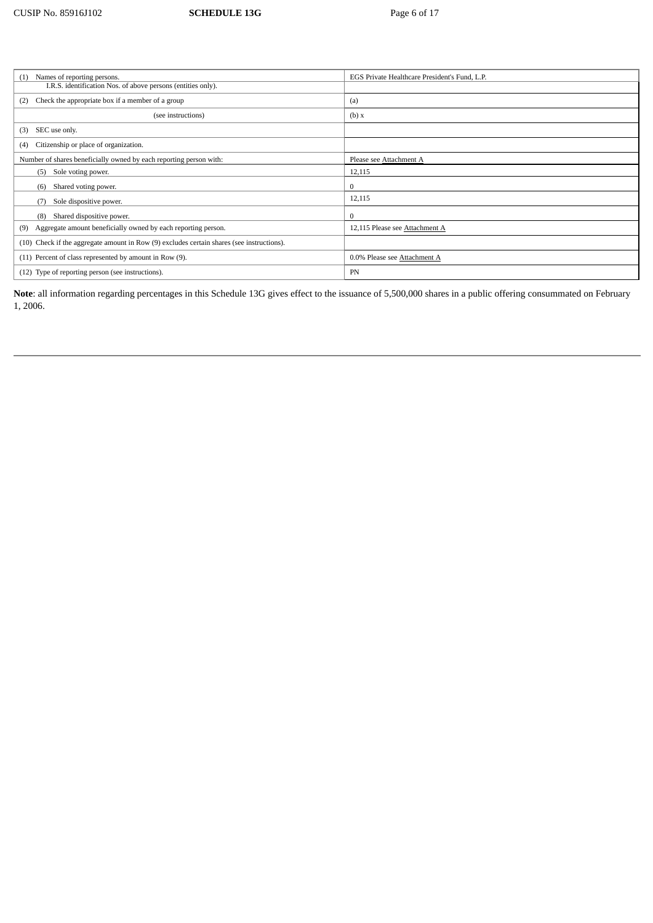| Names of reporting persons.<br>(1)                                                        | EGS Private Healthcare President's Fund, L.P. |  |
|-------------------------------------------------------------------------------------------|-----------------------------------------------|--|
| I.R.S. identification Nos. of above persons (entities only).                              |                                               |  |
| Check the appropriate box if a member of a group<br>(2)                                   | (a)                                           |  |
| (see instructions)                                                                        | (b) x                                         |  |
| SEC use only.<br>(3)                                                                      |                                               |  |
| Citizenship or place of organization.<br>(4)                                              |                                               |  |
| Number of shares beneficially owned by each reporting person with:                        | Please see Attachment A                       |  |
| Sole voting power.<br>(5)                                                                 | 12,115                                        |  |
| Shared voting power.<br>(6)                                                               | $\mathbf{0}$                                  |  |
| Sole dispositive power.<br>(7)                                                            | 12,115                                        |  |
| Shared dispositive power.<br>(8)                                                          | $\mathbf{0}$                                  |  |
| Aggregate amount beneficially owned by each reporting person.<br>(9)                      | 12,115 Please see Attachment A                |  |
| (10) Check if the aggregate amount in Row (9) excludes certain shares (see instructions). |                                               |  |
| (11) Percent of class represented by amount in Row (9).                                   | 0.0% Please see Attachment A                  |  |
| (12) Type of reporting person (see instructions).                                         | PN                                            |  |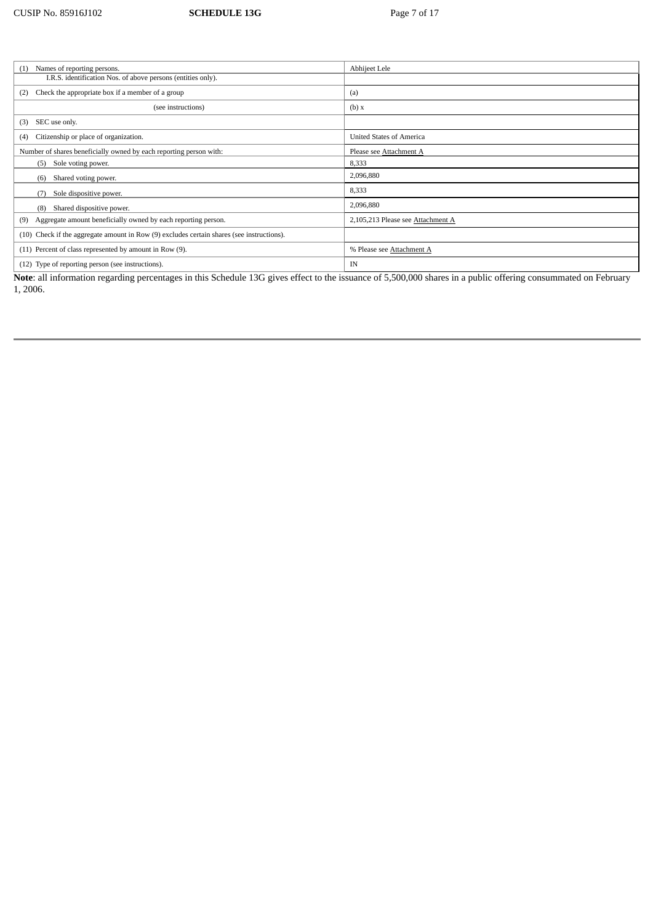| Abhijeet Lele                     |  |
|-----------------------------------|--|
|                                   |  |
| (a)                               |  |
| (b) x                             |  |
|                                   |  |
| <b>United States of America</b>   |  |
| Please see Attachment A           |  |
| 8,333                             |  |
| 2,096,880                         |  |
| 8,333                             |  |
| 2,096,880                         |  |
| 2,105,213 Please see Attachment A |  |
|                                   |  |
| % Please see Attachment A         |  |
| IN                                |  |
|                                   |  |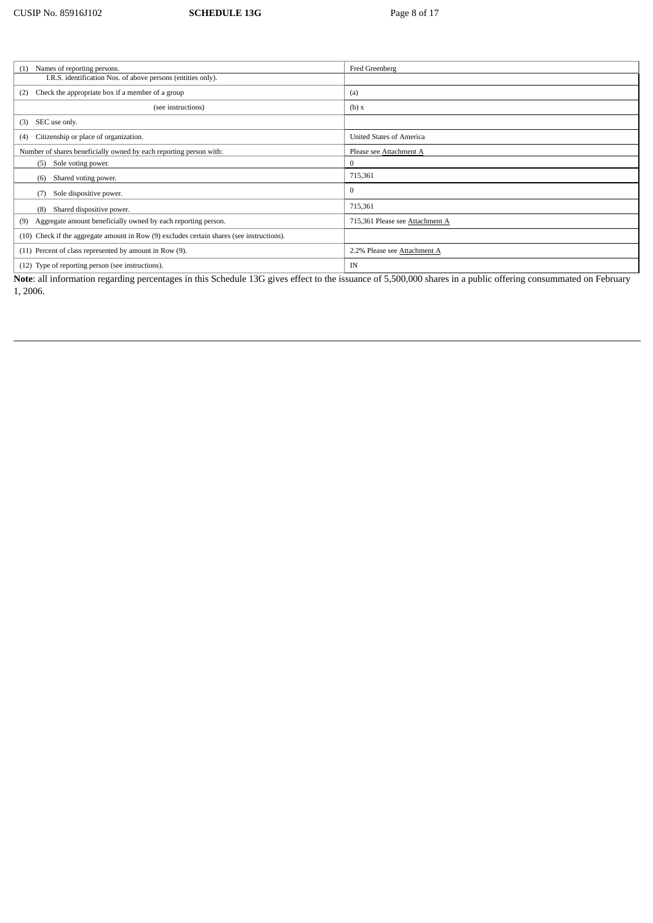| Names of reporting persons.<br>(1)                                                        | Fred Greenberg                  |
|-------------------------------------------------------------------------------------------|---------------------------------|
| I.R.S. identification Nos. of above persons (entities only).                              |                                 |
| Check the appropriate box if a member of a group<br>(2)                                   | (a)                             |
| (see instructions)                                                                        | (b) x                           |
| SEC use only.<br>(3)                                                                      |                                 |
| Citizenship or place of organization.<br>(4)                                              | <b>United States of America</b> |
| Number of shares beneficially owned by each reporting person with:                        | Please see Attachment A         |
| Sole voting power.<br>(5)                                                                 | $\bf{0}$                        |
| Shared voting power.<br>(6)                                                               | 715,361                         |
| Sole dispositive power.<br>(7)                                                            | $\mathbf{0}$                    |
| Shared dispositive power.<br>(8)                                                          | 715,361                         |
| Aggregate amount beneficially owned by each reporting person.<br>(9)                      | 715,361 Please see Attachment A |
| (10) Check if the aggregate amount in Row (9) excludes certain shares (see instructions). |                                 |
| (11) Percent of class represented by amount in Row (9).                                   | 2.2% Please see Attachment A    |
| (12) Type of reporting person (see instructions).                                         | IN                              |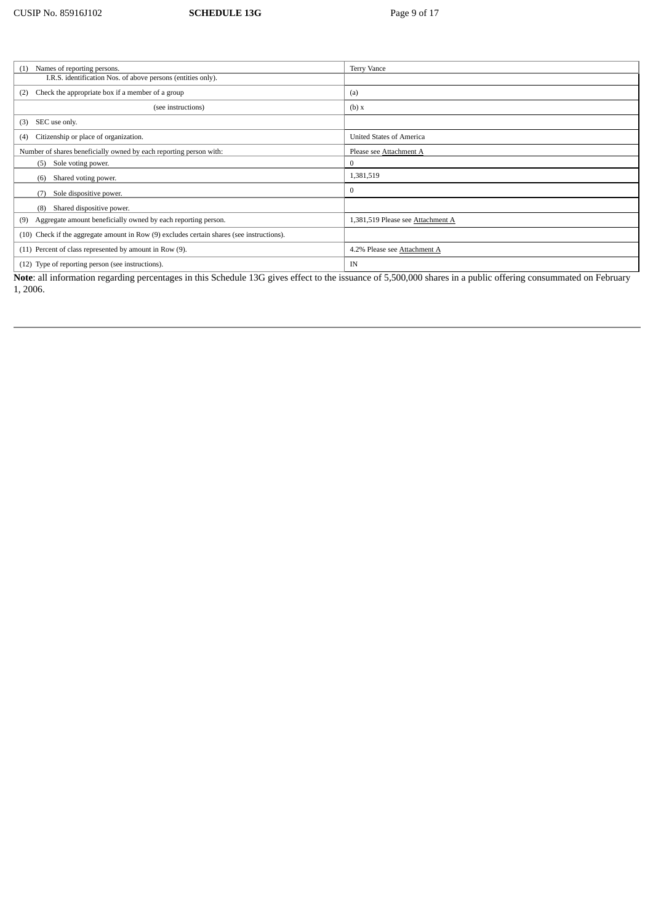| Names of reporting persons.<br>(1)                                                                                                                                                                                                                                                                                                                                                                                                        | <b>Terry Vance</b>                                               |  |
|-------------------------------------------------------------------------------------------------------------------------------------------------------------------------------------------------------------------------------------------------------------------------------------------------------------------------------------------------------------------------------------------------------------------------------------------|------------------------------------------------------------------|--|
| I.R.S. identification Nos. of above persons (entities only).                                                                                                                                                                                                                                                                                                                                                                              |                                                                  |  |
| Check the appropriate box if a member of a group<br>(2)                                                                                                                                                                                                                                                                                                                                                                                   | (a)                                                              |  |
| (see instructions)                                                                                                                                                                                                                                                                                                                                                                                                                        | (b) x                                                            |  |
| SEC use only.<br>(3)                                                                                                                                                                                                                                                                                                                                                                                                                      |                                                                  |  |
| Citizenship or place of organization.<br>(4)                                                                                                                                                                                                                                                                                                                                                                                              | <b>United States of America</b>                                  |  |
| Number of shares beneficially owned by each reporting person with:                                                                                                                                                                                                                                                                                                                                                                        | Please see Attachment A                                          |  |
| Sole voting power.<br>(5)                                                                                                                                                                                                                                                                                                                                                                                                                 | $\bf{0}$                                                         |  |
| Shared voting power.<br>(6)                                                                                                                                                                                                                                                                                                                                                                                                               | 1,381,519                                                        |  |
| Sole dispositive power.<br>(7)                                                                                                                                                                                                                                                                                                                                                                                                            | $\mathbf{0}$                                                     |  |
| Shared dispositive power.<br>(8)                                                                                                                                                                                                                                                                                                                                                                                                          |                                                                  |  |
| Aggregate amount beneficially owned by each reporting person.<br>(9)                                                                                                                                                                                                                                                                                                                                                                      | 1,381,519 Please see Attachment A                                |  |
| (10) Check if the aggregate amount in Row (9) excludes certain shares (see instructions).                                                                                                                                                                                                                                                                                                                                                 |                                                                  |  |
| (11) Percent of class represented by amount in Row (9).                                                                                                                                                                                                                                                                                                                                                                                   | 4.2% Please see Attachment A                                     |  |
| (12) Type of reporting person (see instructions).<br>$\overline{c}$ $\overline{c}$ $\overline{c}$ $\overline{c}$ $\overline{c}$ $\overline{c}$ $\overline{c}$ $\overline{c}$ $\overline{c}$ $\overline{c}$ $\overline{c}$ $\overline{c}$ $\overline{c}$ $\overline{c}$ $\overline{c}$ $\overline{c}$ $\overline{c}$ $\overline{c}$ $\overline{c}$ $\overline{c}$ $\overline{c}$ $\overline{c}$ $\overline{c}$ $\overline{c}$ $\overline{$ | IN<br>$\sim$<br>$C = F \cap C \cap C \cap T$<br>$\cdots$<br>$-1$ |  |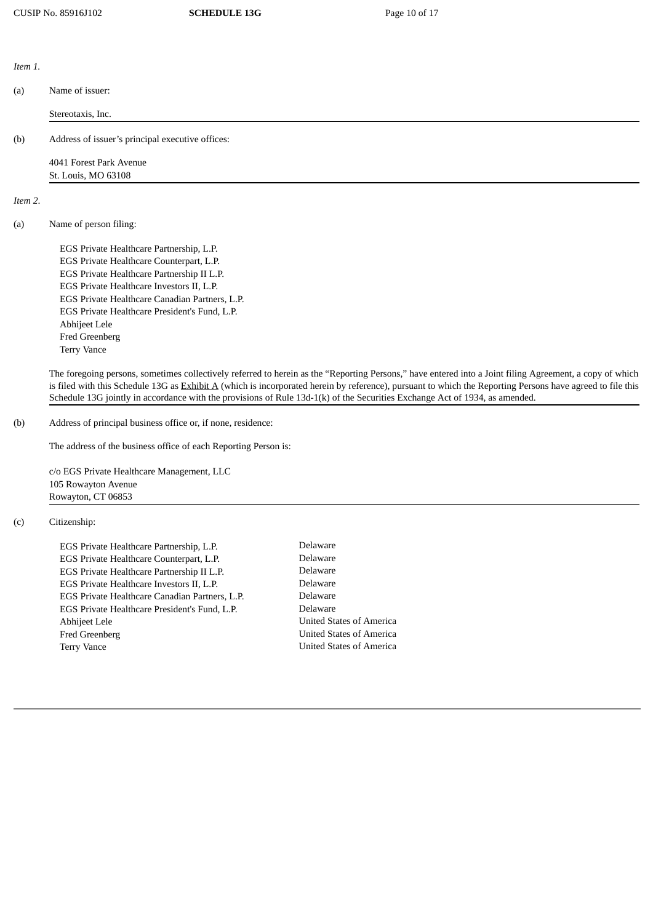*Item 1.*

| (a)     | Name of issuer:                                                                                                                                                                                                                                                                                                                                                                                                                                       |
|---------|-------------------------------------------------------------------------------------------------------------------------------------------------------------------------------------------------------------------------------------------------------------------------------------------------------------------------------------------------------------------------------------------------------------------------------------------------------|
|         | Stereotaxis, Inc.                                                                                                                                                                                                                                                                                                                                                                                                                                     |
| (b)     | Address of issuer's principal executive offices:                                                                                                                                                                                                                                                                                                                                                                                                      |
|         | 4041 Forest Park Avenue                                                                                                                                                                                                                                                                                                                                                                                                                               |
|         | St. Louis, MO 63108                                                                                                                                                                                                                                                                                                                                                                                                                                   |
| Item 2. |                                                                                                                                                                                                                                                                                                                                                                                                                                                       |
| (a)     | Name of person filing:                                                                                                                                                                                                                                                                                                                                                                                                                                |
|         | EGS Private Healthcare Partnership, L.P.                                                                                                                                                                                                                                                                                                                                                                                                              |
|         | EGS Private Healthcare Counterpart, L.P.                                                                                                                                                                                                                                                                                                                                                                                                              |
|         | EGS Private Healthcare Partnership II L.P.                                                                                                                                                                                                                                                                                                                                                                                                            |
|         | EGS Private Healthcare Investors II, L.P.                                                                                                                                                                                                                                                                                                                                                                                                             |
|         | EGS Private Healthcare Canadian Partners, L.P.                                                                                                                                                                                                                                                                                                                                                                                                        |
|         | EGS Private Healthcare President's Fund, L.P.                                                                                                                                                                                                                                                                                                                                                                                                         |
|         | Abhijeet Lele                                                                                                                                                                                                                                                                                                                                                                                                                                         |
|         | Fred Greenberg                                                                                                                                                                                                                                                                                                                                                                                                                                        |
|         | <b>Terry Vance</b>                                                                                                                                                                                                                                                                                                                                                                                                                                    |
|         | The foregoing persons, sometimes collectively referred to herein as the "Reporting Persons," have entered into a Joint filing Agreement, a copy of which<br>is filed with this Schedule 13G as Exhibit A (which is incorporated herein by reference), pursuant to which the Reporting Persons have agreed to file this<br>Schedule 13G jointly in accordance with the provisions of Rule 13d-1(k) of the Securities Exchange Act of 1934, as amended. |

(b) Address of principal business office or, if none, residence:

The address of the business office of each Reporting Person is:

c/o EGS Private Healthcare Management, LLC 105 Rowayton Avenue Rowayton, CT 06853

## (c) Citizenship:

EGS Private Healthcare Partnership, L.P. Delaware EGS Private Healthcare Counterpart, L.P. Delaware EGS Private Healthcare Partnership II L.P. EGS Private Healthcare Investors II, L.P. Delaware EGS Private Healthcare Canadian Partners, L.P. Delaware EGS Private Healthcare President's Fund, L.P. Delaware Abhijeet Lele **United States of America** Fred Greenberg **Interpreterate States of America** Terry Vance **Vance United States of America**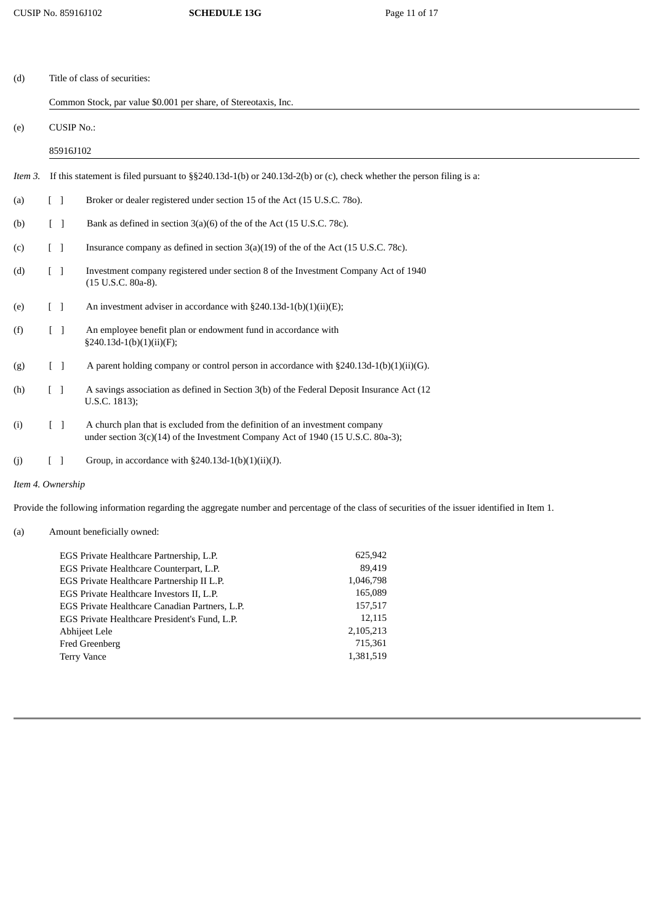| (d)               | Title of class of securities:                                                                                               |                                   |                                                                                                                                                                |
|-------------------|-----------------------------------------------------------------------------------------------------------------------------|-----------------------------------|----------------------------------------------------------------------------------------------------------------------------------------------------------------|
|                   | Common Stock, par value \$0.001 per share, of Stereotaxis, Inc.                                                             |                                   |                                                                                                                                                                |
| (e)               | <b>CUSIP No.:</b><br>85916J102                                                                                              |                                   |                                                                                                                                                                |
|                   |                                                                                                                             |                                   |                                                                                                                                                                |
| Item 3.           | If this statement is filed pursuant to $\S$ $\S$ 240.13d-1(b) or 240.13d-2(b) or (c), check whether the person filing is a: |                                   |                                                                                                                                                                |
| (a)               |                                                                                                                             | $\begin{bmatrix} 1 \end{bmatrix}$ | Broker or dealer registered under section 15 of the Act (15 U.S.C. 780).                                                                                       |
| (b)               |                                                                                                                             | $\Box$                            | Bank as defined in section 3(a)(6) of the of the Act (15 U.S.C. 78c).                                                                                          |
| (c)               |                                                                                                                             | $\sqrt{ }$                        | Insurance company as defined in section $3(a)(19)$ of the of the Act (15 U.S.C. 78c).                                                                          |
| (d)               |                                                                                                                             | $[\ ]$                            | Investment company registered under section 8 of the Investment Company Act of 1940<br>(15 U.S.C. 80a-8).                                                      |
| (e)               |                                                                                                                             | $\begin{bmatrix} 1 \end{bmatrix}$ | An investment adviser in accordance with $\S 240.13d-1(b)(1)(ii)(E);$                                                                                          |
| (f)               |                                                                                                                             | $[\ ]$                            | An employee benefit plan or endowment fund in accordance with<br>$§240.13d-1(b)(1)(ii)(F);$                                                                    |
| (g)               |                                                                                                                             | $\Box$                            | A parent holding company or control person in accordance with $\S 240.13d-1(b)(1)(ii)(G)$ .                                                                    |
| (h)               |                                                                                                                             | $\begin{bmatrix} 1 \end{bmatrix}$ | A savings association as defined in Section 3(b) of the Federal Deposit Insurance Act (12<br>U.S.C. 1813);                                                     |
| (i)               |                                                                                                                             | $[\ ]$                            | A church plan that is excluded from the definition of an investment company<br>under section 3(c)(14) of the Investment Company Act of 1940 (15 U.S.C. 80a-3); |
| (j)               |                                                                                                                             | $\lceil$ 1                        | Group, in accordance with $\S 240.13d-1(b)(1)(ii)(J)$ .                                                                                                        |
| Item 4. Ownership |                                                                                                                             |                                   |                                                                                                                                                                |
|                   |                                                                                                                             |                                   | Provide the following information regarding the aggregate number and percentage of the class of securities of the issuer identified in Item 1.                 |

## (a) Amount beneficially owned:

| EGS Private Healthcare Partnership, L.P.       | 625,942   |
|------------------------------------------------|-----------|
| EGS Private Healthcare Counterpart, L.P.       | 89.419    |
| EGS Private Healthcare Partnership II L.P.     | 1,046,798 |
| EGS Private Healthcare Investors II, L.P.      | 165,089   |
| EGS Private Healthcare Canadian Partners, L.P. | 157,517   |
| EGS Private Healthcare President's Fund, L.P.  | 12,115    |
| Abhijeet Lele                                  | 2,105,213 |
| <b>Fred Greenberg</b>                          | 715,361   |
| <b>Terry Vance</b>                             | 1,381,519 |
|                                                |           |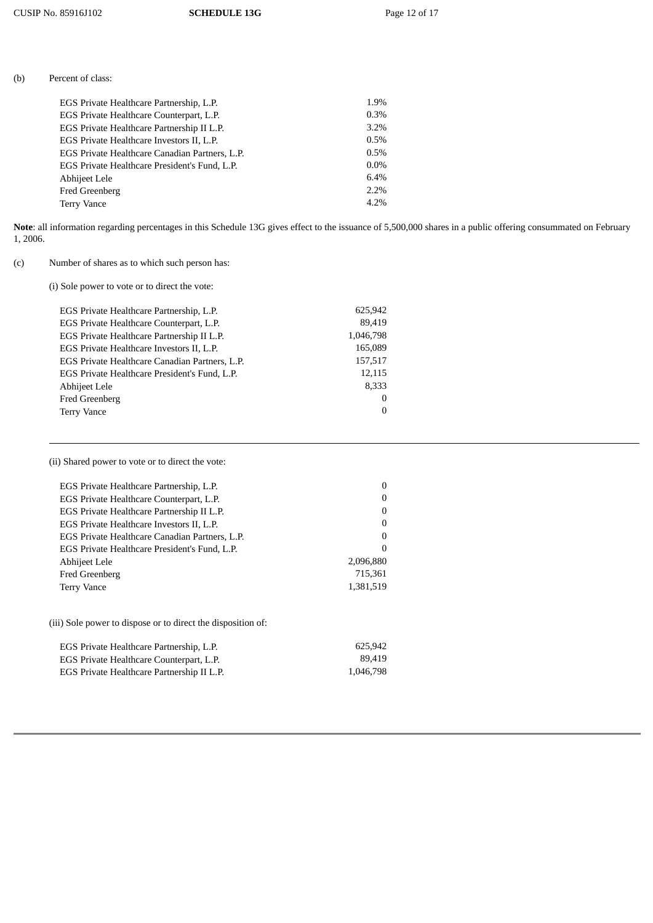| (b)<br>Percent of class: |
|--------------------------|
|--------------------------|

| EGS Private Healthcare Partnership, L.P.       | 1.9%    |
|------------------------------------------------|---------|
| EGS Private Healthcare Counterpart, L.P.       | 0.3%    |
| EGS Private Healthcare Partnership II L.P.     | 3.2%    |
| EGS Private Healthcare Investors II, L.P.      | 0.5%    |
| EGS Private Healthcare Canadian Partners, L.P. | 0.5%    |
| EGS Private Healthcare President's Fund, L.P.  | $0.0\%$ |
| Abhijeet Lele                                  | 6.4%    |
| Fred Greenberg                                 | 2.2%    |
| <b>Terry Vance</b>                             | 4.2%    |
|                                                |         |

# (c) Number of shares as to which such person has:

(i) Sole power to vote or to direct the vote:

| EGS Private Healthcare Partnership, L.P.       | 625,942   |
|------------------------------------------------|-----------|
| EGS Private Healthcare Counterpart, L.P.       | 89,419    |
| EGS Private Healthcare Partnership II L.P.     | 1,046,798 |
| EGS Private Healthcare Investors II, L.P.      | 165,089   |
| EGS Private Healthcare Canadian Partners, L.P. | 157,517   |
| EGS Private Healthcare President's Fund, L.P.  | 12,115    |
| Abhijeet Lele                                  | 8,333     |
| Fred Greenberg                                 | $\Omega$  |
| Terry Vance                                    | $\Omega$  |
|                                                |           |

(ii) Shared power to vote or to direct the vote:

| EGS Private Healthcare Partnership, L.P.       |           |
|------------------------------------------------|-----------|
| EGS Private Healthcare Counterpart, L.P.       |           |
| EGS Private Healthcare Partnership II L.P.     |           |
| EGS Private Healthcare Investors II, L.P.      |           |
| EGS Private Healthcare Canadian Partners, L.P. |           |
| EGS Private Healthcare President's Fund, L.P.  |           |
| Abhijeet Lele                                  | 2,096,880 |
| Fred Greenberg                                 | 715,361   |
| <b>Terry Vance</b>                             | 1,381,519 |
|                                                |           |

(iii) Sole power to dispose or to direct the disposition of:

| EGS Private Healthcare Partnership, L.P.   | 625.942   |
|--------------------------------------------|-----------|
| EGS Private Healthcare Counterpart, L.P.   | 89.419    |
| EGS Private Healthcare Partnership II L.P. | 1.046.798 |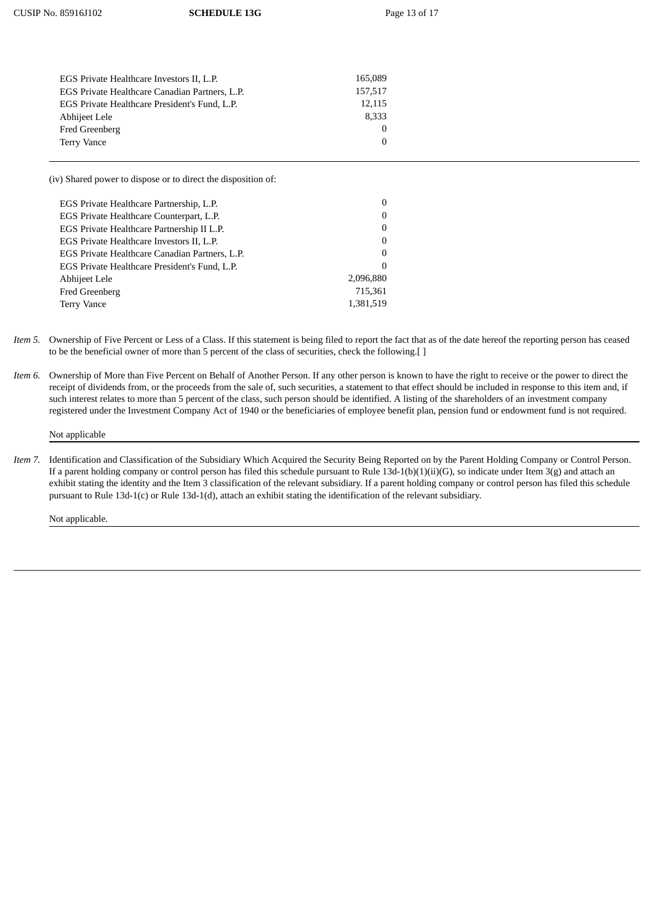| 165,089  |
|----------|
| 157,517  |
| 12,115   |
| 8,333    |
| $\Omega$ |
| 0        |
|          |

(iv) Shared power to dispose or to direct the disposition of:

| EGS Private Healthcare Partnership, L.P.       |           |
|------------------------------------------------|-----------|
| EGS Private Healthcare Counterpart, L.P.       | 0         |
| EGS Private Healthcare Partnership II L.P.     | $\Omega$  |
| EGS Private Healthcare Investors II, L.P.      | 0         |
| EGS Private Healthcare Canadian Partners, L.P. | $\Omega$  |
| EGS Private Healthcare President's Fund, L.P.  | $\Omega$  |
| Abhijeet Lele                                  | 2,096,880 |
| Fred Greenberg                                 | 715,361   |
| <b>Terry Vance</b>                             | 1,381,519 |
|                                                |           |

- *Item 5.* Ownership of Five Percent or Less of a Class. If this statement is being filed to report the fact that as of the date hereof the reporting person has ceased to be the beneficial owner of more than 5 percent of the class of securities, check the following.[ ]
- *Item 6.* Ownership of More than Five Percent on Behalf of Another Person. If any other person is known to have the right to receive or the power to direct the receipt of dividends from, or the proceeds from the sale of, such securities, a statement to that effect should be included in response to this item and, if such interest relates to more than 5 percent of the class, such person should be identified. A listing of the shareholders of an investment company registered under the Investment Company Act of 1940 or the beneficiaries of employee benefit plan, pension fund or endowment fund is not required.

## Not applicable

*Item 7.* Identification and Classification of the Subsidiary Which Acquired the Security Being Reported on by the Parent Holding Company or Control Person. If a parent holding company or control person has filed this schedule pursuant to Rule 13d-1(b)(1)(ii)(G), so indicate under Item 3(g) and attach an exhibit stating the identity and the Item 3 classification of the relevant subsidiary. If a parent holding company or control person has filed this schedule pursuant to Rule 13d-1(c) or Rule 13d-1(d), attach an exhibit stating the identification of the relevant subsidiary.

Not applicable.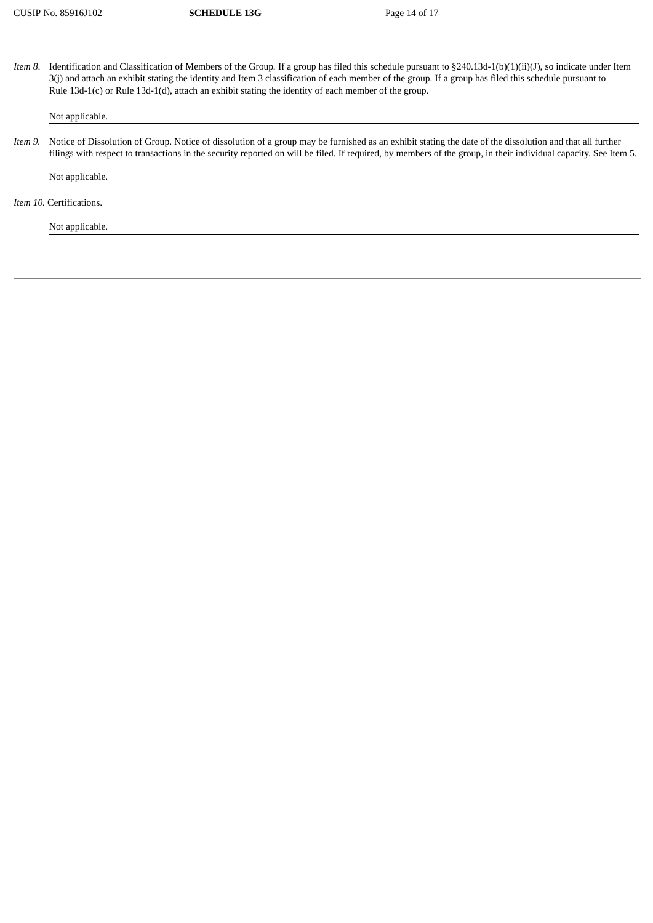*Item 8*. Identification and Classification of Members of the Group*.* If a group has filed this schedule pursuant to §240.13d-1(b)(1)(ii)(J), so indicate under Item 3(j) and attach an exhibit stating the identity and Item 3 classification of each member of the group. If a group has filed this schedule pursuant to Rule 13d-1(c) or Rule 13d-1(d), attach an exhibit stating the identity of each member of the group.

Not applicable.

*Item 9.* Notice of Dissolution of Group. Notice of dissolution of a group may be furnished as an exhibit stating the date of the dissolution and that all further filings with respect to transactions in the security reported on will be filed. If required, by members of the group, in their individual capacity. See Item 5.

Not applicable.

*Item 10.* Certifications.

Not applicable.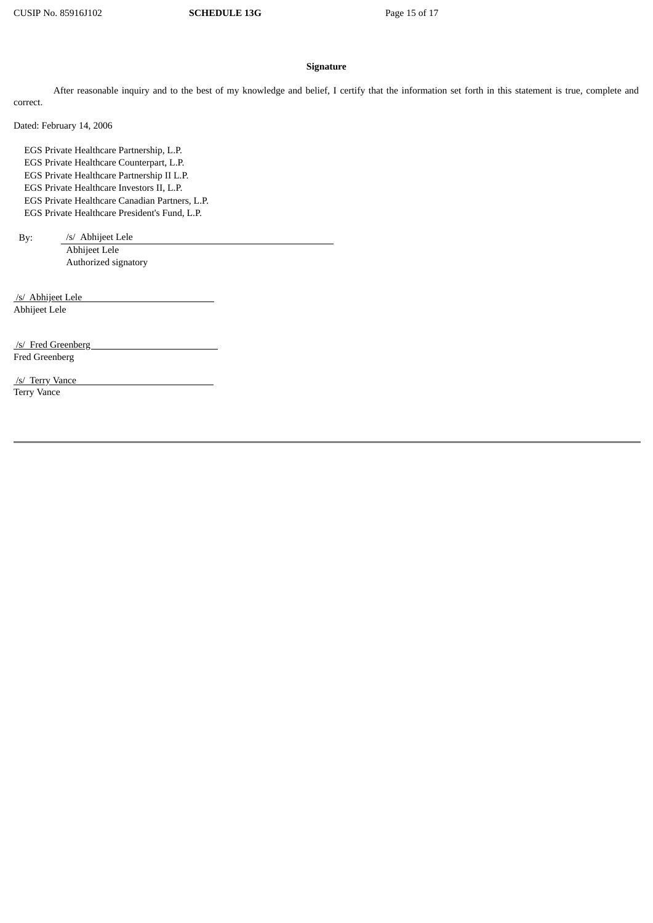#### **Signature**

After reasonable inquiry and to the best of my knowledge and belief, I certify that the information set forth in this statement is true, complete and correct.

Dated: February 14, 2006

EGS Private Healthcare Partnership, L.P. EGS Private Healthcare Counterpart, L.P. EGS Private Healthcare Partnership II L.P. EGS Private Healthcare Investors II, L.P. EGS Private Healthcare Canadian Partners, L.P. EGS Private Healthcare President's Fund, L.P.

By: /s/ Abhijeet Lele

Abhijeet Lele Authorized signatory

 /s/ Abhijeet Lele Abhijeet Lele

 /s/ Fred Greenberg Fred Greenberg

 /s/ Terry Vance Terry Vance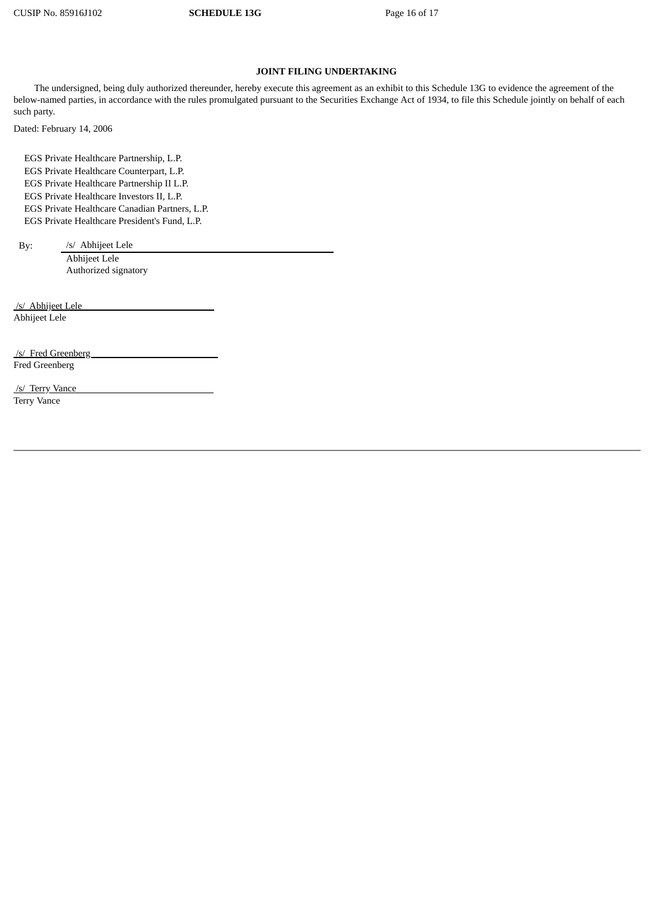# **JOINT FILING UNDERTAKING**

The undersigned, being duly authorized thereunder, hereby execute this agreement as an exhibit to this Schedule 13G to evidence the agreement of the below-named parties, in accordance with the rules promulgated pursuant to the Securities Exchange Act of 1934, to file this Schedule jointly on behalf of each such party.

Dated: February 14, 2006

EGS Private Healthcare Partnership, L.P. EGS Private Healthcare Counterpart, L.P. EGS Private Healthcare Partnership II L.P. EGS Private Healthcare Investors II, L.P. EGS Private Healthcare Canadian Partners, L.P. EGS Private Healthcare President's Fund, L.P.

By: /s/ Abhijeet Lele

Abhijeet Lele Authorized signatory

 /s/ Abhijeet Lele Abhijeet Lele

 /s/ Fred Greenberg Fred Greenberg

 /s/ Terry Vance Terry Vance